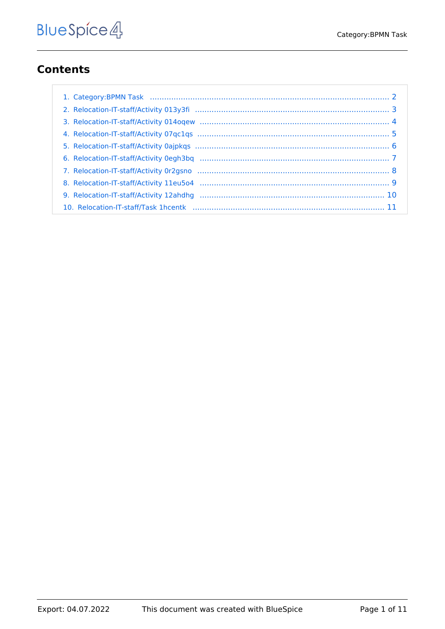## **Contents**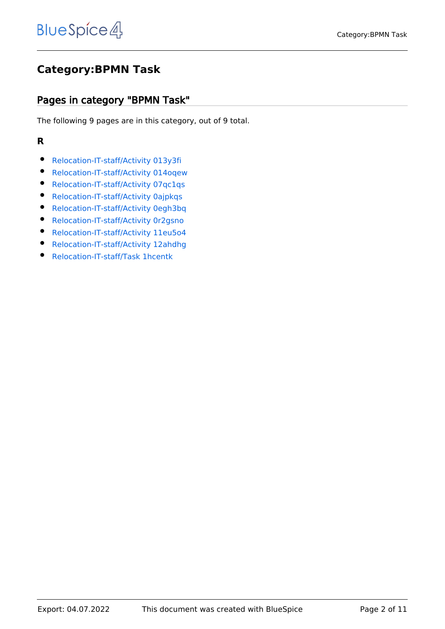#### <span id="page-1-0"></span>**Category:BPMN Task**

#### Pages in category "BPMN Task"

The following 9 pages are in this category, out of 9 total.

#### **R**

- [Relocation-IT-staff/Activity 013y3fi](#page-2-0)
- [Relocation-IT-staff/Activity 014oqew](#page-3-0)
- [Relocation-IT-staff/Activity 07qc1qs](#page-4-0)
- [Relocation-IT-staff/Activity 0ajpkqs](#page-5-0)
- **•** [Relocation-IT-staff/Activity 0egh3bq](#page-6-0)
- [Relocation-IT-staff/Activity 0r2gsno](#page-7-0)
- [Relocation-IT-staff/Activity 11eu5o4](#page-8-0)
- [Relocation-IT-staff/Activity 12ahdhg](#page-9-0)
- [Relocation-IT-staff/Task 1hcentk](#page-10-0)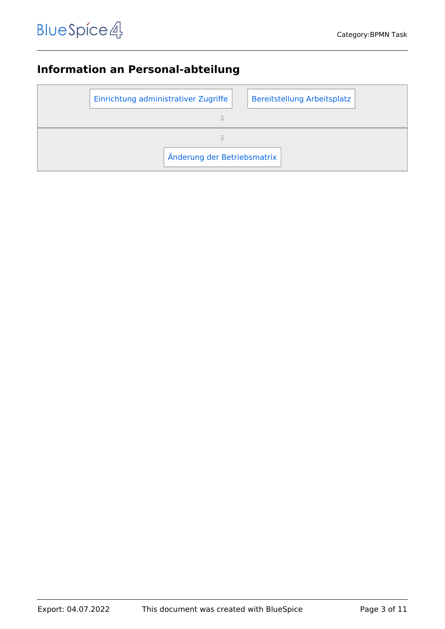# <span id="page-2-0"></span>**Information an Personal-abteilung**

| Einrichtung administrativer Zugriffe |                             |  | Bereitstellung Arbeitsplatz |
|--------------------------------------|-----------------------------|--|-----------------------------|
|                                      |                             |  |                             |
|                                      |                             |  |                             |
|                                      | Änderung der Betriebsmatrix |  |                             |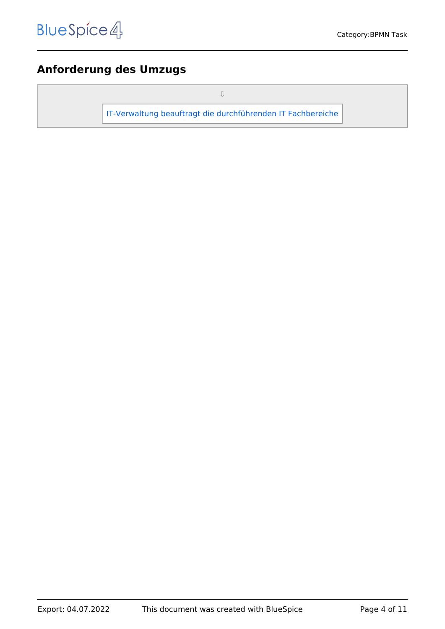#### <span id="page-3-0"></span>**Anforderung des Umzugs**

⇩

[IT-Verwaltung beauftragt die durchführenden IT Fachbereiche](#page-10-0)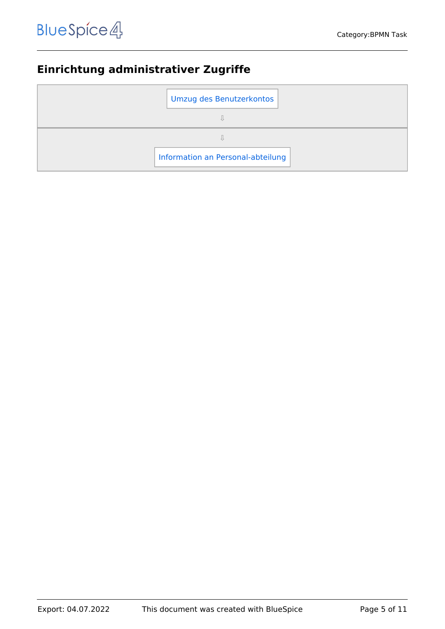# <span id="page-4-0"></span>**Einrichtung administrativer Zugriffe**

| Umzug des Benutzerkontos          |  |
|-----------------------------------|--|
|                                   |  |
|                                   |  |
| Information an Personal-abteilung |  |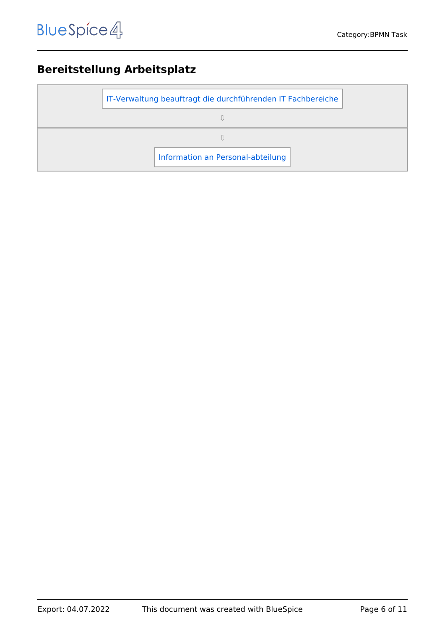# <span id="page-5-0"></span>**Bereitstellung Arbeitsplatz**

| IT-Verwaltung beauftragt die durchführenden IT Fachbereiche |
|-------------------------------------------------------------|
|                                                             |
|                                                             |
| Information an Personal-abteilung                           |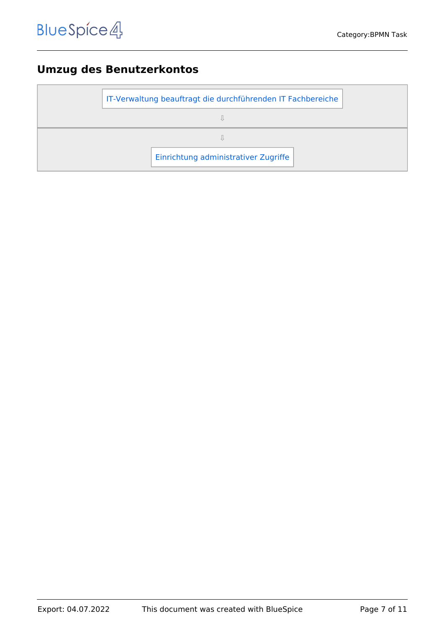#### <span id="page-6-0"></span>**Umzug des Benutzerkontos**

| IT-Verwaltung beauftragt die durchführenden IT Fachbereiche |  |
|-------------------------------------------------------------|--|
|                                                             |  |
|                                                             |  |
| Einrichtung administrativer Zugriffe                        |  |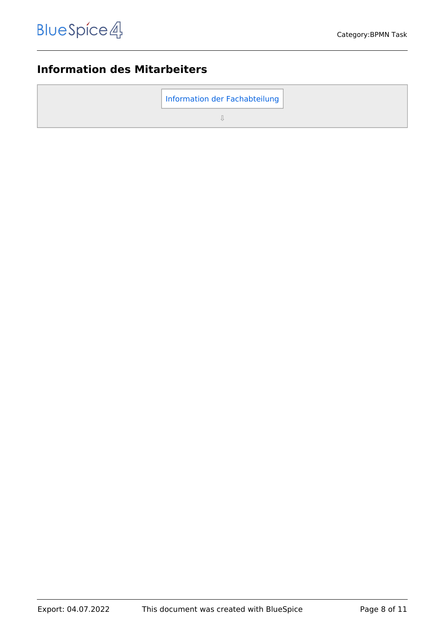# <span id="page-7-0"></span>**Information des Mitarbeiters**

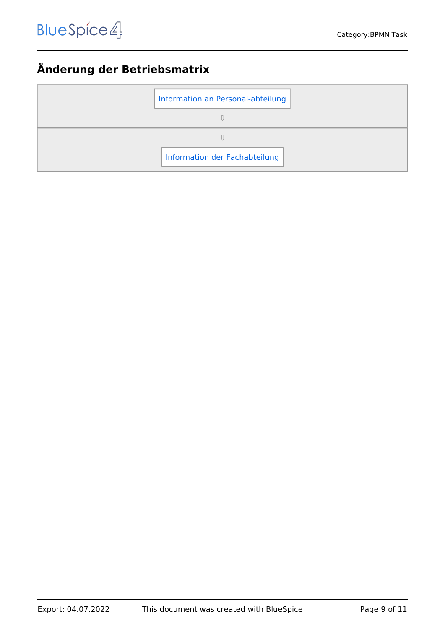## <span id="page-8-0"></span>**Änderung der Betriebsmatrix**

| Information an Personal-abteilung |
|-----------------------------------|
|                                   |
|                                   |
| Information der Fachabteilung     |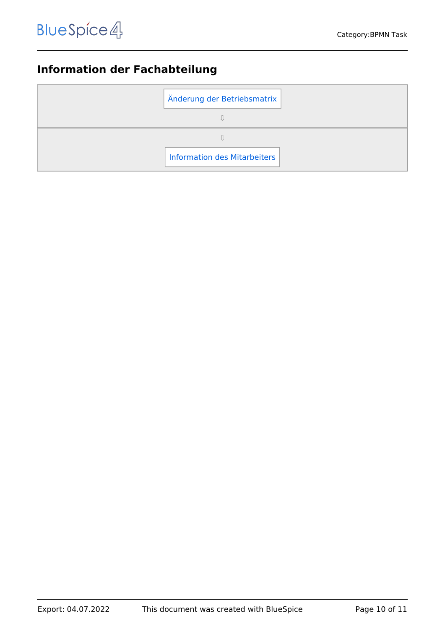# <span id="page-9-0"></span>**Information der Fachabteilung**

| Änderung der Betriebsmatrix         |  |
|-------------------------------------|--|
|                                     |  |
|                                     |  |
| <b>Information des Mitarbeiters</b> |  |